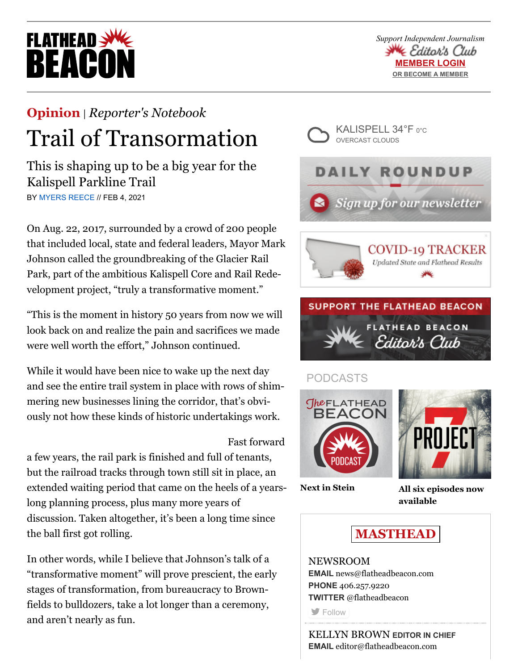# **FLATHEAD** REACO

*Support Independent Journalism* ≪ Editor's Club **MEMBER LOGIN [OR BECOME A MEMBER](https://beaconeditorsclub.com/promo)**

## **[Opinion](https://flatheadbeacon.com/section/opinion/)** | *[Reporter's Notebook](https://flatheadbeacon.com/section/opinion/reporters-notebook/)* Trail of Transormation

This is shaping up to be a big year for the Kalispell Parkline Trail BY [MYERS REECE](https://flatheadbeacon.com/author/myers-reece/) // FEB 4, 2021

On Aug. 22, 2017, surrounded by a crowd of 200 people that included local, state and federal leaders, Mayor Mark Johnson called the groundbreaking of the Glacier Rail Park, part of the ambitious Kalispell Core and Rail Redevelopment project, "truly a transformative moment."

"This is the moment in history 50 years from now we will look back on and realize the pain and sacrifices we made were well worth the effort," Johnson continued.

While it would have been nice to wake up the next day and see the entire trail system in place with rows of shimmering new businesses lining the corridor, that's obviously not how these kinds of historic undertakings work.

## Fast forward

a few years, the rail park is finished and full of tenants, but the railroad tracks through town still sit in place, an extended waiting period that came on the heels of a yearslong planning process, plus many more years of discussion. Taken altogether, it's been a long time since the ball first got rolling.

In other words, while I believe that Johnson's talk of a "transformative moment" will prove prescient, the early stages of transformation, from bureaucracy to Brownfields to bulldozers, take a lot longer than a ceremony, and aren't nearly as fun.







## PODCASTS





**[Next in Stein](https://flatheadbeacon.com/2021/01/27/podcast-next-stein/) [All six episodes now](https://project7pod.com/) available**



### NEWSROOM **EMAIL** [news@flatheadbeacon.com](mailto:news@flatheadbeacon.com) **PHONE** [406.257.9220](tel:406.257.9220) **TWITTER** @flatheadbeacon **[Follow](http://twitter.com/flatheadbeacon)**

KELLYN BROWN **EDITOR IN CHIEF EMAIL** [editor@flatheadbeacon.com](mailto:editor@flatheadbeacon.com)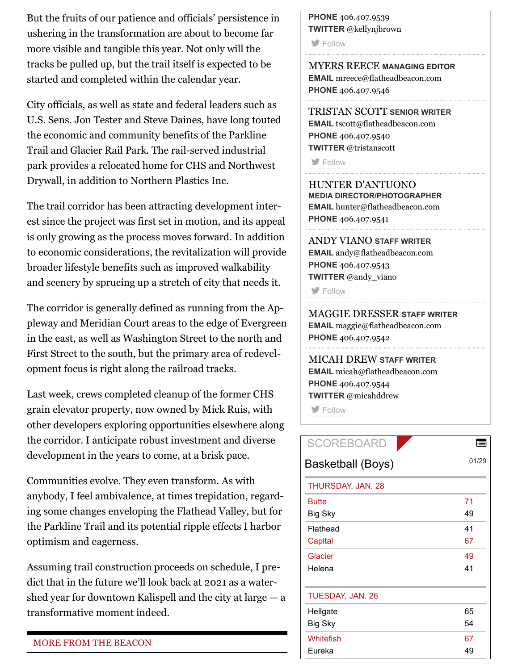But the fruits of our patience and officials' persistence in ushering in the transformation are about to become far more visible and tangible this year. Not only will the tracks be pulled up, but the trail itself is expected to be started and completed within the calendar year.

City officials, as well as state and federal leaders such as U.S. Sens. Jon Tester and Steve Daines, have long touted the economic and community benefits of the Parkline Trail and Glacier Rail Park. The rail-served industrial park provides a relocated home for CHS and Northwest Drywall, in addition to Northern Plastics Inc.

The trail corridor has been attracting development interest since the project was first set in motion, and its appeal is only growing as the process moves forward. In addition to economic considerations, the revitalization will provide broader lifestyle benefits such as improved walkability and scenery by sprucing up a stretch of city that needs it.

The corridor is generally defined as running from the Appleway and Meridian Court areas to the edge of Evergreen in the east, as well as Washington Street to the north and First Street to the south, but the primary area of redevelopment focus is right along the railroad tracks.

Last week, crews completed cleanup of the former CHS grain elevator property, now owned by Mick Ruis, with other developers exploring opportunities elsewhere along the corridor. I anticipate robust investment and diverse development in the years to come, at a brisk pace.

Communities evolve. They even transform. As with anybody, I feel ambivalence, at times trepidation, regarding some changes enveloping the Flathead Valley, but for the Parkline Trail and its potential ripple effects I harbor optimism and eagerness.

Assuming trail construction proceeds on schedule, I predict that in the future we'll look back at 2021 as a watershed year for downtown Kalispell and the city at large  $-$  a transformative moment indeed.

#### MORE FROM THE BEACON

**PHONE** [406.407.9539](tel:406.407.9539) **TWITTER** @kellynjbrown

**[Follow](http://twitter.com/kellynjbrown)** 

MYERS REECE **MANAGING EDITOR EMAIL** [mreece@flatheadbeacon.com](mailto:mreece@flatheadbeacon.com) **PHONE** [406.407.9546](tel:406.407.9546)

TRISTAN SCOTT **SENIOR WRITER EMAIL** [tscott@flatheadbeacon.com](mailto:tscott@flatheadbeacon.com) **PHONE** [406.407.9540](tel:406.407.9540) **TWITTER** @tristanscott

**[Follow](http://twitter.com/tristanscott)** 

HUNTER D'ANTUONO **MEDIA DIRECTOR/PHOTOGRAPHER EMAIL** [hunter@flatheadbeacon.com](mailto:hunter@flatheadbeacon.com) **PHONE** [406.407.9541](tel:406.407.9541)

ANDY VIANO **STAFF WRITER EMAIL** [andy@flatheadbeacon.com](mailto:andy@flatheadbeacon.com) **PHONE** [406.407.9543](tel:406.407.9543) **TWITTER** @andy\_viano

**[Follow](http://twitter.com/andy_viano)** 

MAGGIE DRESSER **STAFF WRITER EMAIL** [maggie@flatheadbeacon.com](mailto:maggie@flatheadbeacon.com) **PHONE** [406.407.9542](tel:406.407.9542)

MICAH DREW **STAFF WRITER EMAIL** [micah@flatheadbeacon.com](mailto:micah@flatheadbeacon.com) **PHONE** [406.407.9544](tel:406.407.9544) **TWITTER** @micahddrew

**S** [Follow](http://twitter.com/micahddrew)

| <b>SCOREBOARD</b> | li    |
|-------------------|-------|
| Basketball (Boys) | 01/29 |
| THURSDAY, JAN. 28 |       |
| <b>Butte</b>      | 71    |
| Big Sky           | 49    |
| Flathead          | 41    |
| Capital           | 67    |
| Glacier           | 49    |
| Helena            | 41    |
| TUESDAY, JAN. 26  |       |
| Hellgate          | 65    |
| Big Sky           | 54    |
| Whitefish         | 67    |
| Eureka            | 49    |